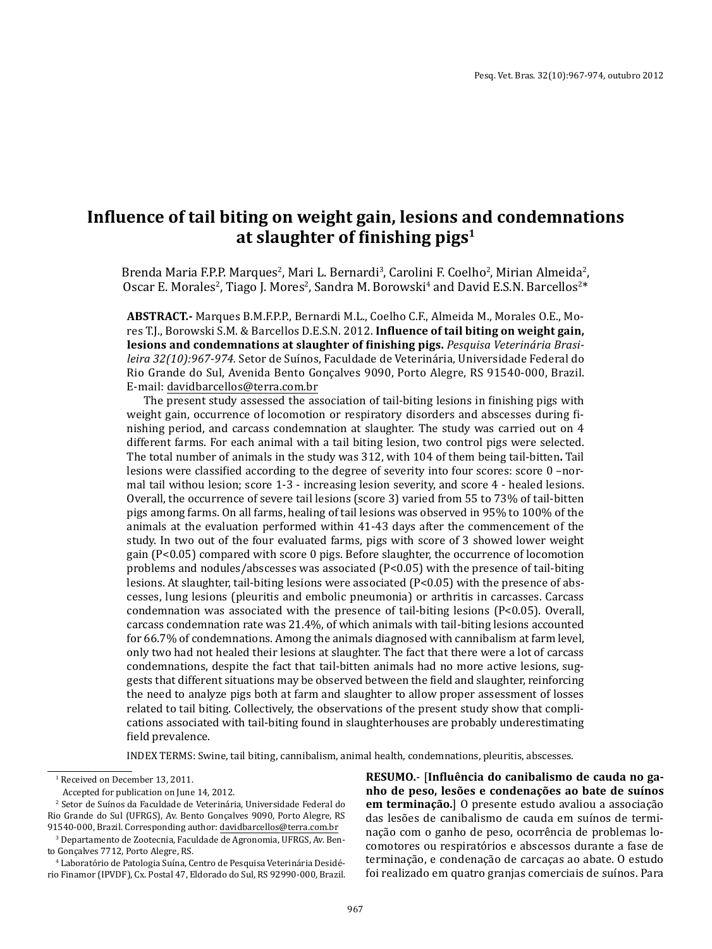# **In-luence of tail biting on weight gain, lesions and condemnations**   $\mathbf{a}$ t slaughter of finishing pigs<sup>1</sup>

Brenda Maria F.P.P. Marques<sup>2</sup>, Mari L. Bernardi<sup>3</sup>, Carolini F. Coelho<sup>2</sup>, Mirian Almeida<sup>2</sup>, Oscar E. Morales<sup>2</sup>, Tiago J. Mores<sup>2</sup>, Sandra M. Borowski<sup>4</sup> and David E.S.N. Barcellos<sup>2</sup>\*

**ABSTRACT.-** Marques B.M.F.P.P., Bernardi M.L., Coelho C.F., Almeida M., Morales O.E., Mores T.J., Borowski S.M. & Barcellos D.E.S.N. 2012. **Influence of tail biting on weight gain,** lesions and condemnations at slaughter of finishing pigs. Pesquisa Veterinária Brasi*leira 32(10):967-974.* Setor de Suínos, Faculdade de Veterinária, Universidade Federal do Rio Grande do Sul, Avenida Bento Gonçalves 9090, Porto Alegre, RS 91540-000, Brazil. E-mail: davidbarcellos@terra.com.br

The present study assessed the association of tail-biting lesions in finishing pigs with weight gain, occurrence of locomotion or respiratory disorders and abscesses during finishing period, and carcass condemnation at slaughter. The study was carried out on 4 different farms. For each animal with a tail biting lesion, two control pigs were selected. The total number of animals in the study was 312, with 104 of them being tail-bitten**.** Tail lesions were classified according to the degree of severity into four scores: score 0 –normal tail withou lesion; score 1-3 - increasing lesion severity, and score 4 - healed lesions. Overall, the occurrence of severe tail lesions (score 3) varied from 55 to 73% of tail-bitten pigs among farms. On all farms, healing of tail lesions was observed in 95% to 100% of the animals at the evaluation performed within 41-43 days after the commencement of the study. In two out of the four evaluated farms, pigs with score of 3 showed lower weight gain (P<0.05) compared with score 0 pigs. Before slaughter, the occurrence of locomotion problems and nodules/abscesses was associated (P<0.05) with the presence of tail-biting lesions. At slaughter, tail-biting lesions were associated (P<0.05) with the presence of abscesses, lung lesions (pleuritis and embolic pneumonia) or arthritis in carcasses. Carcass condemnation was associated with the presence of tail-biting lesions ( $P<0.05$ ). Overall, carcass condemnation rate was 21.4%, of which animals with tail-biting lesions accounted for 66.7% of condemnations. Among the animals diagnosed with cannibalism at farm level, only two had not healed their lesions at slaughter. The fact that there were a lot of carcass condemnations, despite the fact that tail-bitten animals had no more active lesions, suggests that different situations may be observed between the field and slaughter, reinforcing the need to analyze pigs both at farm and slaughter to allow proper assessment of losses related to tail biting. Collectively, the observations of the present study show that complications associated with tail-biting found in slaughterhouses are probably underestimating -ield prevalence.

INDEX TERMS: Swine, tail biting, cannibalism, animal health, condemnations, pleuritis, abscesses.

RESUMO.- [Influência do canibalismo de cauda no ga**nho de peso, lesões e condenações ao bate de suínos em terminação.**] O presente estudo avaliou a associação das lesões de canibalismo de cauda em suínos de terminação com o ganho de peso, ocorrência de problemas locomotores ou respiratórios e abscessos durante a fase de terminação, e condenação de carcaças ao abate. O estudo foi realizado em quatro granjas comerciais de suínos. Para

<sup>1</sup> Received on December 13, 2011.

Accepted for publication on June 14, 2012.

<sup>2</sup> Setor de Suínos da Faculdade de Veterinária, Universidade Federal do Rio Grande do Sul (UFRGS), Av. Bento Gonçalves 9090, Porto Alegre, RS 91540-000, Brazil. Corresponding author: davidbarcellos@terra.com.br

<sup>3</sup> Departamento de Zootecnia, Faculdade de Agronomia, UFRGS, Av. Bento Gonçalves 7712, Porto Alegre, RS.

<sup>4</sup> Laboratório de Patologia Suína, Centro de Pesquisa Veterinária Desidério Finamor (IPVDF), Cx. Postal 47, Eldorado do Sul, RS 92990-000, Brazil.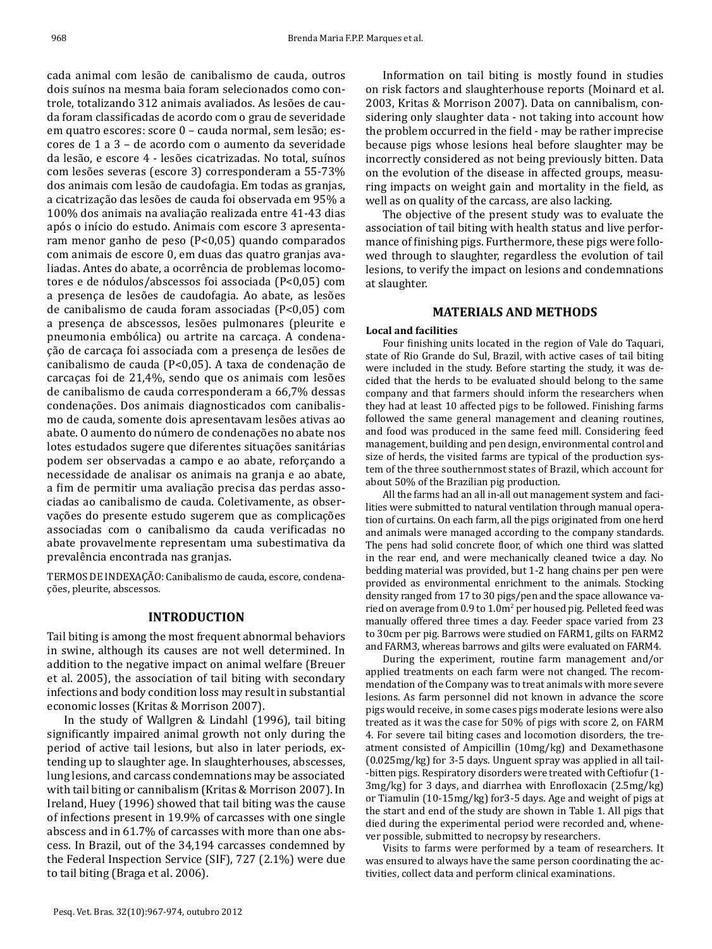cada animal com lesão de canibalismo de cauda, outros dois suínos na mesma baia foram selecionados como controle, totalizando 312 animais avaliados. As lesões de cauda foram classificadas de acordo com o grau de severidade em quatro escores: score 0 – cauda normal, sem lesão; escores de 1 a 3 – de acordo com o aumento da severidade da lesão, e escore 4 - lesões cicatrizadas. No total, suínos com lesões severas (escore 3) corresponderam a 55-73% dos animais com lesão de caudofagia. Em todas as granjas, a cicatrização das lesões de cauda foi observada em 95% a 100% dos animais na avaliação realizada entre 41-43 dias após o início do estudo. Animais com escore 3 apresentaram menor ganho de peso (P<0,05) quando comparados com animais de escore 0, em duas das quatro granjas avaliadas. Antes do abate, a ocorrência de problemas locomotores e de nódulos/abscessos foi associada (P<0,05) com a presença de lesões de caudofagia. Ao abate, as lesões de canibalismo de cauda foram associadas (P<0,05) com a presença de abscessos, lesões pulmonares (pleurite e pneumonia embólica) ou artrite na carcaça. A condenação de carcaça foi associada com a presença de lesões de canibalismo de cauda (P<0,05). A taxa de condenação de carcaças foi de 21,4%, sendo que os animais com lesões de canibalismo de cauda corresponderam a 66,7% dessas condenações. Dos animais diagnosticados com canibalismo de cauda, somente dois apresentavam lesões ativas ao abate. O aumento do número de condenações no abate nos lotes estudados sugere que diferentes situações sanitárias podem ser observadas a campo e ao abate, reforçando a necessidade de analisar os animais na granja e ao abate, a fim de permitir uma avaliação precisa das perdas associadas ao canibalismo de cauda. Coletivamente, as observações do presente estudo sugerem que as complicações associadas com o canibalismo da cauda verificadas no abate provavelmente representam uma subestimativa da prevalência encontrada nas granjas.

TERMOS DE INDEXAÇÃO: Canibalismo de cauda, escore, condenações, pleurite, abscessos.

## **INTRODUCTION**

Tail biting is among the most frequent abnormal behaviors in swine, although its causes are not well determined. In addition to the negative impact on animal welfare (Breuer et al. 2005), the association of tail biting with secondary infections and body condition loss may result in substantial economic losses (Kritas & Morrison 2007).

In the study of Wallgren & Lindahl (1996), tail biting significantly impaired animal growth not only during the period of active tail lesions, but also in later periods, extending up to slaughter age. In slaughterhouses, abscesses, lung lesions, and carcass condemnations may be associated with tail biting or cannibalism (Kritas & Morrison 2007). In Ireland, Huey (1996) showed that tail biting was the cause of infections present in 19.9% of carcasses with one single abscess and in 61.7% of carcasses with more than one abscess. In Brazil, out of the 34,194 carcasses condemned by the Federal Inspection Service (SIF), 727 (2.1%) were due to tail biting (Braga et al. 2006).

Information on tail biting is mostly found in studies on risk factors and slaughterhouse reports (Moinard et al. 2003, Kritas & Morrison 2007). Data on cannibalism, considering only slaughter data - not taking into account how the problem occurred in the field - may be rather imprecise because pigs whose lesions heal before slaughter may be incorrectly considered as not being previously bitten. Data on the evolution of the disease in affected groups, measuring impacts on weight gain and mortality in the field, as well as on quality of the carcass, are also lacking.

The objective of the present study was to evaluate the association of tail biting with health status and live performance of finishing pigs. Furthermore, these pigs were followed through to slaughter, regardless the evolution of tail lesions, to verify the impact on lesions and condemnations at slaughter.

# **MATERIALS AND METHODS**

#### **Local and facilities**

Four finishing units located in the region of Vale do Taquari, state of Rio Grande do Sul, Brazil, with active cases of tail biting were included in the study. Before starting the study, it was decided that the herds to be evaluated should belong to the same company and that farmers should inform the researchers when they had at least 10 affected pigs to be followed. Finishing farms followed the same general management and cleaning routines, and food was produced in the same feed mill. Considering feed management, building and pen design, environmental control and size of herds, the visited farms are typical of the production system of the three southernmost states of Brazil, which account for about 50% of the Brazilian pig production.

All the farms had an all in-all out management system and facilities were submitted to natural ventilation through manual operation of curtains. On each farm, all the pigs originated from one herd and animals were managed according to the company standards. The pens had solid concrete floor, of which one third was slatted in the rear end, and were mechanically cleaned twice a day. No bedding material was provided, but 1-2 hang chains per pen were provided as environmental enrichment to the animals. Stocking density ranged from 17 to 30 pigs/pen and the space allowance varied on average from 0.9 to 1.0m<sup>2</sup> per housed pig. Pelleted feed was manually offered three times a day. Feeder space varied from 23 to 30cm per pig. Barrows were studied on FARM1, gilts on FARM2 and FARM3, whereas barrows and gilts were evaluated on FARM4.

During the experiment, routine farm management and/or applied treatments on each farm were not changed. The recommendation of the Company was to treat animals with more severe lesions. As farm personnel did not known in advance the score pigs would receive, in some cases pigs moderate lesions were also treated as it was the case for 50% of pigs with score 2, on FARM 4. For severe tail biting cases and locomotion disorders, the treatment consisted of Ampicillin (10mg/kg) and Dexamethasone (0.025mg/kg) for 3-5 days. Unguent spray was applied in all tail- -bitten pigs. Respiratory disorders were treated with Ceftiofur (1- 3mg/kg) for 3 days, and diarrhea with Enrofloxacin (2.5mg/kg) or Tiamulin (10-15mg/kg) for3-5 days. Age and weight of pigs at the start and end of the study are shown in Table 1. All pigs that died during the experimental period were recorded and, whenever possible, submitted to necropsy by researchers.

Visits to farms were performed by a team of researchers. It was ensured to always have the same person coordinating the activities, collect data and perform clinical examinations.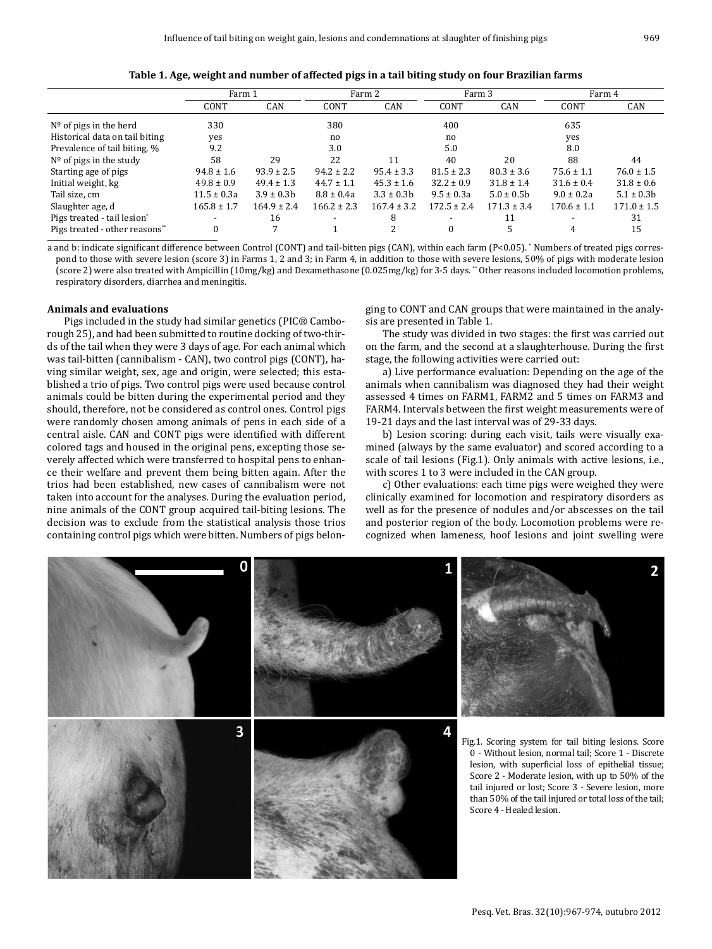|                                         | Farm 1                   |                 | Farm 2          |                 | Farm 3                   |                 | Farm 4          |                 |
|-----------------------------------------|--------------------------|-----------------|-----------------|-----------------|--------------------------|-----------------|-----------------|-----------------|
|                                         | CONT                     | CAN             | CONT            | CAN             | CONT                     | CAN             | CONT            | CAN             |
| $No$ of pigs in the herd                | 330                      |                 | 380             |                 | 400                      |                 | 635             |                 |
| Historical data on tail biting          | yes                      |                 | no              |                 | no                       |                 | yes             |                 |
| Prevalence of tail biting, %            | 9.2                      |                 | 3.0             |                 | 5.0                      |                 | 8.0             |                 |
| $No$ of pigs in the study               | 58                       | 29              | 22              | 11              | 40                       | 20              | 88              | 44              |
| Starting age of pigs                    | $94.8 \pm 1.6$           | $93.9 \pm 2.5$  | $94.2 \pm 2.2$  | $95.4 \pm 3.3$  | $81.5 \pm 2.3$           | $80.3 \pm 3.6$  | $75.6 \pm 1.1$  | $76.0 \pm 1.5$  |
| Initial weight, kg                      | $49.8 \pm 0.9$           | $49.4 \pm 1.3$  | $44.7 \pm 1.1$  | $45.3 \pm 1.6$  | $32.2 \pm 0.9$           | $31.8 \pm 1.4$  | $31.6 \pm 0.4$  | $31.8 \pm 0.6$  |
| Tail size, cm                           | $11.5 \pm 0.3a$          | $3.9 \pm 0.3 b$ | $8.8 \pm 0.4a$  | $3.3 \pm 0.3$ h | $9.5 \pm 0.3a$           | $5.0 \pm 0.5$ b | $9.0 \pm 0.2a$  | $5.1 \pm 0.3 b$ |
| Slaughter age, d                        | $165.8 \pm 1.7$          | $164.9 \pm 2.4$ | $166.2 \pm 2.3$ | $167.4 \pm 3.2$ | $172.5 \pm 2.4$          | $171.3 \pm 3.4$ | $170.6 \pm 1.1$ | $171.0 \pm 1.5$ |
| Pigs treated - tail lesion <sup>*</sup> | $\overline{\phantom{0}}$ | 16              |                 | 8               | $\overline{\phantom{a}}$ | 11              |                 | 31              |
| Pigs treated - other reasons**          | $\Omega$                 |                 |                 | 2               | $\Omega$                 | 5               | 4               | 15              |

**Table 1. Age, weight and number of affected pigs in a tail biting study on four Brazilian farms**

a and b: indicate significant difference between Control (CONT) and tail-bitten pigs (CAN), within each farm (P<0.05). \* Numbers of treated pigs correspond to those with severe lesion (score 3) in Farms 1, 2 and 3; in Farm 4, in addition to those with severe lesions, 50% of pigs with moderate lesion (score 2) were also treated with Ampicillin (10mg/kg) and Dexamethasone (0.025mg/kg) for 3-5 days. \*\* Other reasons included locomotion problems, respiratory disorders, diarrhea and meningitis.

### **Animals and evaluations**

Pigs included in the study had similar genetics (PIC® Camborough 25), and had been submitted to routine docking of two-thirds of the tail when they were 3 days of age. For each animal which was tail-bitten (cannibalism - CAN), two control pigs (CONT), having similar weight, sex, age and origin, were selected; this established a trio of pigs. Two control pigs were used because control animals could be bitten during the experimental period and they should, therefore, not be considered as control ones. Control pigs were randomly chosen among animals of pens in each side of a central aisle. CAN and CONT pigs were identified with different colored tags and housed in the original pens, excepting those severely affected which were transferred to hospital pens to enhance their welfare and prevent them being bitten again. After the trios had been established, new cases of cannibalism were not taken into account for the analyses. During the evaluation period, nine animals of the CONT group acquired tail-biting lesions. The decision was to exclude from the statistical analysis those trios containing control pigs which were bitten. Numbers of pigs belonging to CONT and CAN groups that were maintained in the analysis are presented in Table 1.

The study was divided in two stages: the first was carried out on the farm, and the second at a slaughterhouse. During the first stage, the following activities were carried out:

a) Live performance evaluation: Depending on the age of the animals when cannibalism was diagnosed they had their weight assessed 4 times on FARM1, FARM2 and 5 times on FARM3 and FARM4. Intervals between the first weight measurements were of 19-21 days and the last interval was of 29-33 days.

b) Lesion scoring: during each visit, tails were visually examined (always by the same evaluator) and scored according to a scale of tail lesions (Fig.1). Only animals with active lesions, i.e., with scores 1 to 3 were included in the CAN group.

c) Other evaluations: each time pigs were weighed they were clinically examined for locomotion and respiratory disorders as well as for the presence of nodules and/or abscesses on the tail and posterior region of the body. Locomotion problems were recognized when lameness, hoof lesions and joint swelling were

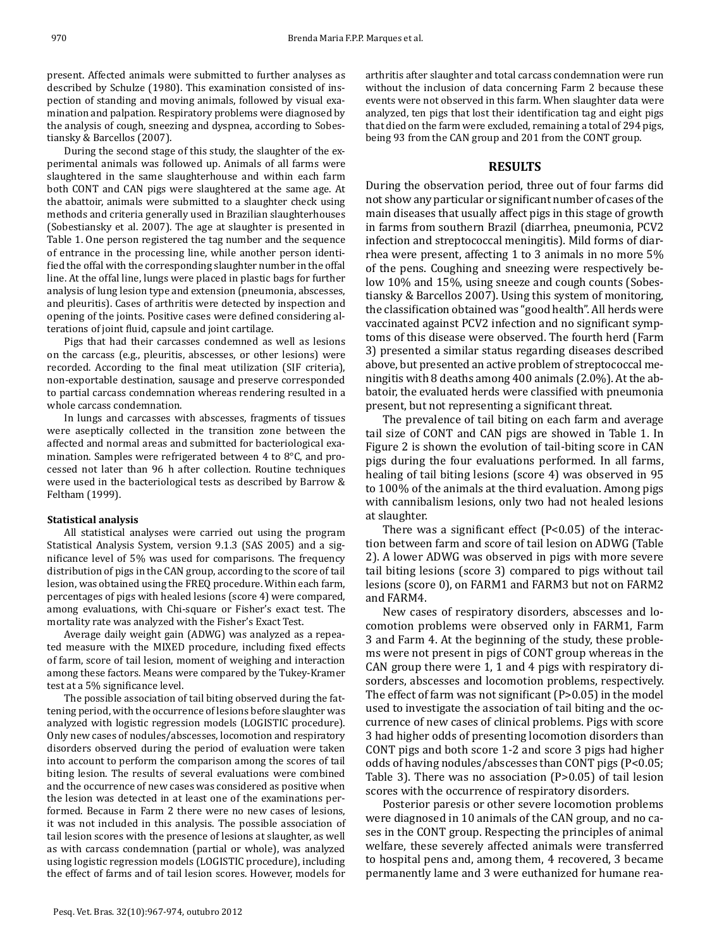present. Affected animals were submitted to further analyses as described by Schulze (1980). This examination consisted of inspection of standing and moving animals, followed by visual examination and palpation. Respiratory problems were diagnosed by the analysis of cough, sneezing and dyspnea, according to Sobestiansky & Barcellos (2007).

During the second stage of this study, the slaughter of the experimental animals was followed up. Animals of all farms were slaughtered in the same slaughterhouse and within each farm both CONT and CAN pigs were slaughtered at the same age. At the abattoir, animals were submitted to a slaughter check using methods and criteria generally used in Brazilian slaughterhouses (Sobestiansky et al. 2007). The age at slaughter is presented in Table 1. One person registered the tag number and the sequence of entrance in the processing line, while another person identi fied the offal with the corresponding slaughter number in the offal line. At the offal line, lungs were placed in plastic bags for further analysis of lung lesion type and extension (pneumonia, abscesses, and pleuritis). Cases of arthritis were detected by inspection and opening of the joints. Positive cases were defined considering alterations of joint fluid, capsule and joint cartilage.

Pigs that had their carcasses condemned as well as lesions on the carcass (e.g., pleuritis, abscesses, or other lesions) were recorded. According to the final meat utilization (SIF criteria), non-exportable destination, sausage and preserve corresponded to partial carcass condemnation whereas rendering resulted in a whole carcass condemnation.

In lungs and carcasses with abscesses, fragments of tissues were aseptically collected in the transition zone between the affected and normal areas and submitted for bacteriological examination. Samples were refrigerated between 4 to 8°C, and processed not later than 96 h after collection. Routine techniques were used in the bacteriological tests as described by Barrow & Feltham (1999).

#### **Statistical analysis**

All statistical analyses were carried out using the program Statistical Analysis System, version 9.1.3 (SAS 2005) and a significance level of 5% was used for comparisons. The frequency distribution of pigs in the CAN group, according to the score of tail lesion, was obtained using the FREQ procedure. Within each farm, percentages of pigs with healed lesions (score 4) were compared, among evaluations, with Chi-square or Fisher's exact test. The mortality rate was analyzed with the Fisher's Exact Test.

Average daily weight gain (ADWG) was analyzed as a repeated measure with the MIXED procedure, including fixed effects of farm, score of tail lesion, moment of weighing and interaction among these factors. Means were compared by the Tukey-Kramer test at a 5% significance level.

The possible association of tail biting observed during the fattening period, with the occurrence of lesions before slaughter was analyzed with logistic regression models (LOGISTIC procedure). Only new cases of nodules/abscesses, locomotion and respiratory disorders observed during the period of evaluation were taken into account to perform the comparison among the scores of tail biting lesion. The results of several evaluations were combined and the occurrence of new cases was considered as positive when the lesion was detected in at least one of the examinations performed. Because in Farm 2 there were no new cases of lesions, it was not included in this analysis. The possible association of tail lesion scores with the presence of lesions at slaughter, as well as with carcass condemnation (partial or whole), was analyzed using logistic regression models (LOGISTIC procedure), including the effect of farms and of tail lesion scores. However, models for

arthritis after slaughter and total carcass condemnation were run without the inclusion of data concerning Farm 2 because these events were not observed in this farm. When slaughter data were analyzed, ten pigs that lost their identification tag and eight pigs that died on the farm were excluded, remaining a total of 294 pigs, being 93 from the CAN group and 201 from the CONT group.

## **RESULTS**

During the observation period, three out of four farms did not show any particular or significant number of cases of the main diseases that usually affect pigs in this stage of growth in farms from southern Brazil (diarrhea, pneumonia, PCV2 infection and streptococcal meningitis). Mild forms of diarrhea were present, affecting 1 to 3 animals in no more 5% of the pens. Coughing and sneezing were respectively below 10% and 15%, using sneeze and cough counts (Sobestiansky & Barcellos 2007). Using this system of monitoring, the classification obtained was "good health". All herds were vaccinated against PCV2 infection and no significant symptoms of this disease were observed. The fourth herd (Farm 3) presented a similar status regarding diseases described above, but presented an active problem of streptococcal meningitis with 8 deaths among 400 animals (2.0%). At the abbatoir, the evaluated herds were classified with pneumonia present, but not representing a significant threat.

The prevalence of tail biting on each farm and average tail size of CONT and CAN pigs are showed in Table 1. In Figure 2 is shown the evolution of tail-biting score in CAN pigs during the four evaluations performed. In all farms, healing of tail biting lesions (score 4) was observed in 95 to 100% of the animals at the third evaluation. Among pigs with cannibalism lesions, only two had not healed lesions at slaughter.

There was a significant effect  $(P<0.05)$  of the interaction between farm and score of tail lesion on ADWG (Table 2). A lower ADWG was observed in pigs with more severe tail biting lesions (score 3) compared to pigs without tail lesions (score 0), on FARM1 and FARM3 but not on FARM2 and FARM4.

New cases of respiratory disorders, abscesses and locomotion problems were observed only in FARM1, Farm 3 and Farm 4. At the beginning of the study, these problems were not present in pigs of CONT group whereas in the CAN group there were 1, 1 and 4 pigs with respiratory disorders, abscesses and locomotion problems, respectively. The effect of farm was not significant  $(P>0.05)$  in the model used to investigate the association of tail biting and the occurrence of new cases of clinical problems. Pigs with score 3 had higher odds of presenting locomotion disorders than CONT pigs and both score 1-2 and score 3 pigs had higher odds of having nodules/abscesses than CONT pigs (P<0.05; Table 3). There was no association (P>0.05) of tail lesion scores with the occurrence of respiratory disorders.

Posterior paresis or other severe locomotion problems were diagnosed in 10 animals of the CAN group, and no cases in the CONT group. Respecting the principles of animal welfare, these severely affected animals were transferred to hospital pens and, among them, 4 recovered, 3 became permanently lame and 3 were euthanized for humane rea-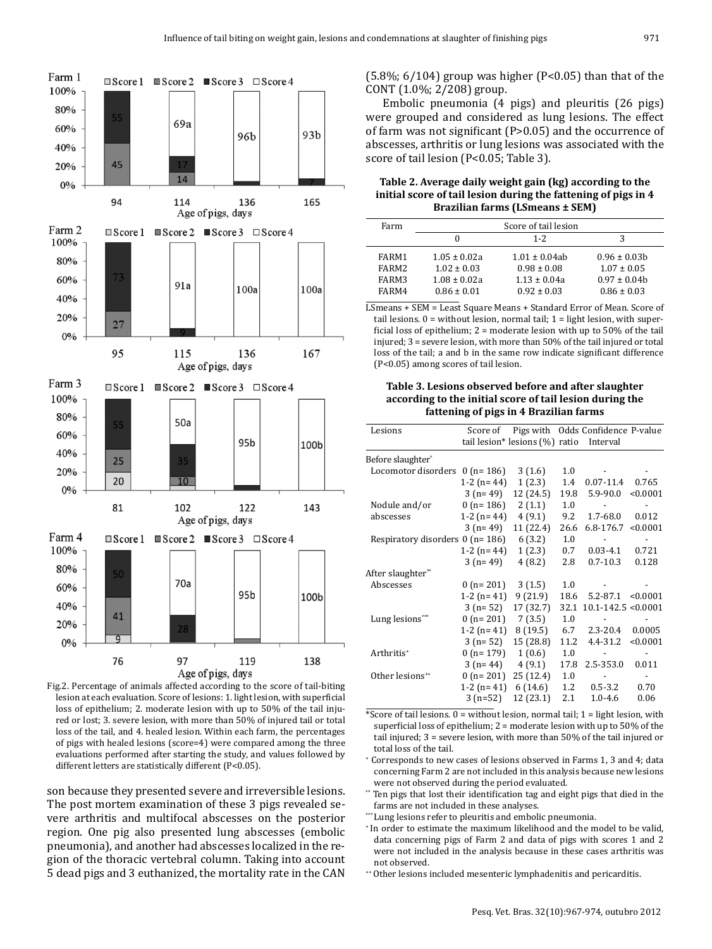

Fig.2. Percentage of animals affected according to the score of tail-biting lesion at each evaluation. Score of lesions: 1. light lesion, with superficial loss of epithelium; 2. moderate lesion with up to 50% of the tail injured or lost; 3. severe lesion, with more than 50% of injured tail or total loss of the tail, and 4. healed lesion. Within each farm, the percentages of pigs with healed lesions (score=4) were compared among the three evaluations performed after starting the study, and values followed by different letters are statistically different (P<0.05).

son because they presented severe and irreversible lesions. The post mortem examination of these 3 pigs revealed severe arthritis and multifocal abscesses on the posterior region. One pig also presented lung abscesses (embolic pneumonia), and another had abscesses localized in the region of the thoracic vertebral column. Taking into account 5 dead pigs and 3 euthanized, the mortality rate in the CAN

 $(5.8\%; 6/104)$  group was higher  $(P<0.05)$  than that of the CONT (1.0%; 2/208) group.

Embolic pneumonia (4 pigs) and pleuritis (26 pigs) were grouped and considered as lung lesions. The effect of farm was not significant  $(P>0.05)$  and the occurrence of abscesses, arthritis or lung lesions was associated with the score of tail lesion (P<0.05; Table 3).

# **Table 2. Average daily weight gain (kg) according to the initial score of tail lesion during the fattening of pigs in 4 Brazilian farms (LSmeans ± SEM)**

| Farm              | Score of tail lesion |                    |                   |  |  |  |
|-------------------|----------------------|--------------------|-------------------|--|--|--|
|                   |                      | $1 - 2$            |                   |  |  |  |
| FARM1             | $1.05 + 0.02a$       | $1.01 \pm 0.04$ ab | $0.96 \pm 0.03$ h |  |  |  |
| FARM <sub>2</sub> | $1.02 + 0.03$        | $0.98 + 0.08$      | $1.07 + 0.05$     |  |  |  |
| FARM3             | $1.08 \pm 0.02a$     | $1.13 \pm 0.04a$   | $0.97 \pm 0.04$   |  |  |  |
| FARM4             | $0.86 + 0.01$        | $0.92 + 0.03$      | $0.86 + 0.03$     |  |  |  |

LSmeans + SEM = Least Square Means + Standard Error of Mean. Score of tail lesions.  $0 =$  without lesion, normal tail:  $1 =$  light lesion, with superficial loss of epithelium; 2 = moderate lesion with up to 50% of the tail injured; 3 = severe lesion, with more than 50% of the tail injured or total loss of the tail; a and b in the same row indicate significant difference (P<0.05) among scores of tail lesion.

## **Table 3. Lesions observed before and after slaughter according to the initial score of tail lesion during the fattening of pigs in 4 Brazilian farms**

| Lesions                          | Score of         |                                         |         | Pigs with Odds Confidence P-value |          |
|----------------------------------|------------------|-----------------------------------------|---------|-----------------------------------|----------|
|                                  |                  | tail lesion* lesions (%) ratio Interval |         |                                   |          |
| Before slaughter*                |                  |                                         |         |                                   |          |
| Locomotor disorders              | $0(n=186)$       | 3(1.6)                                  | 1.0     |                                   |          |
|                                  | 1-2 ( $n = 44$ ) | 1(2.3)                                  | 1.4     | $0.07 - 11.4$                     | 0.765    |
|                                  | $3(n=49)$        | 12 (24.5)                               | 19.8    | $5.9 - 90.0$                      | < 0.0001 |
| Nodule and/or                    | $0(n=186)$       | 2(1.1)                                  | 1.0     |                                   |          |
| abscesses                        | 1-2 ( $n = 44$ ) | 4(9.1)                                  | 9.2     | $1.7 - 68.0$                      | 0.012    |
|                                  | $3(n=49)$        | 11 (22.4)                               | 26.6    | $6.8-176.7$ < $0.0001$            |          |
| Respiratory disorders 0 (n= 186) |                  | 6(3.2)                                  | 1.0     |                                   |          |
|                                  | $1-2(n=44)$      | 1(2.3)                                  | 0.7     | $0.03 - 4.1$                      | 0.721    |
|                                  | $3(n=49)$        | 4(8.2)                                  | 2.8     | $0.7 - 10.3$                      | 0.128    |
| After slaughter**                |                  |                                         |         |                                   |          |
| Abscesses                        | $0(n=201)$       | 3(1.5)                                  | 1.0     |                                   |          |
|                                  | $1-2(n=41)$      | 9(21.9)                                 | 18.6    | $5.2 - 87.1$                      | < 0.0001 |
|                                  | $3(n=52)$        | 17 (32.7)                               | 32.1    | $10.1 - 142.5 < 0.0001$           |          |
| Lung lesions***                  | $0(n=201)$       | 7(3.5)                                  | 1.0     |                                   |          |
|                                  | $1-2(n=41)$      | 8(19.5)                                 | 6.7     | $2.3 - 20.4$                      | 0.0005   |
|                                  | $3(n=52)$        | 15 (28.8)                               | 11.2    | 4.4-31.2                          | < 0.0001 |
| Arthritis <sup>+</sup>           | $0(n=179)$       | 1(0.6)                                  | 1.0     |                                   |          |
|                                  | $3(n=44)$        | 4(9.1)                                  | 17.8    | 2.5-353.0                         | 0.011    |
| Other lesions**                  | $0(n=201)$       | 25 (12.4)                               | 1.0     |                                   |          |
|                                  | $1-2(n=41)$      | 6(14.6)                                 | $1.2\,$ | $0.5 - 3.2$                       | 0.70     |
|                                  | $3(n=52)$        | 12 (23.1)                               | 2.1     | $1.0 - 4.6$                       | 0.06     |
|                                  |                  |                                         |         |                                   |          |

\*Score of tail lesions.  $0 =$  without lesion, normal tail;  $1 =$  light lesion, with superficial loss of epithelium; 2 = moderate lesion with up to 50% of the tail injured; 3 = severe lesion, with more than 50% of the tail injured or total loss of the tail.

+ Corresponds to new cases of lesions observed in Farms 1, 3 and 4; data concerning Farm 2 are not included in this analysis because new lesions

were not observed during the period evaluated.<br>" Ten pigs that lost their identification tag and eight pigs that died in the farms are not included in these analyses.

\*\*\* Lung lesions refer to pleuritis and embolic pneumonia.

+ In order to estimate the maximum likelihood and the model to be valid, data concerning pigs of Farm 2 and data of pigs with scores 1 and 2 were not included in the analysis because in these cases arthritis was not observed.

++ Other lesions included mesenteric lymphadenitis and pericarditis.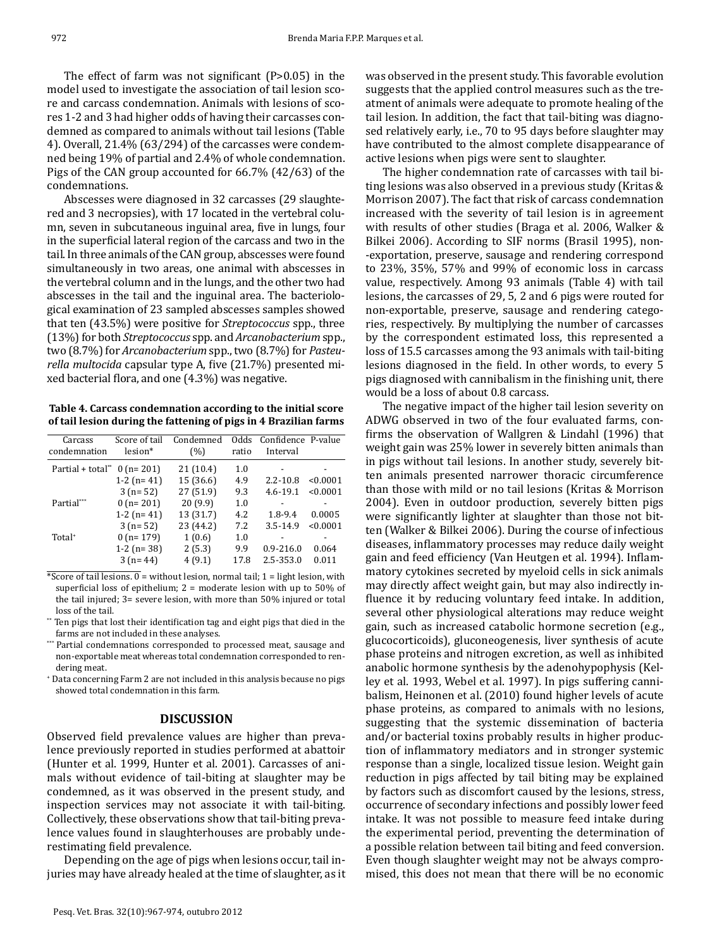The effect of farm was not significant  $(P>0.05)$  in the model used to investigate the association of tail lesion score and carcass condemnation. Animals with lesions of scores 1-2 and 3 had higher odds of having their carcasses condemned as compared to animals without tail lesions (Table 4). Overall, 21.4% (63/294) of the carcasses were condemned being 19% of partial and 2.4% of whole condemnation. Pigs of the CAN group accounted for 66.7% (42/63) of the condemnations.

Abscesses were diagnosed in 32 carcasses (29 slaughtered and 3 necropsies), with 17 located in the vertebral column, seven in subcutaneous inguinal area, five in lungs, four in the superficial lateral region of the carcass and two in the tail. In three animals of the CAN group, abscesses were found simultaneously in two areas, one animal with abscesses in the vertebral column and in the lungs, and the other two had abscesses in the tail and the inguinal area. The bacteriological examination of 23 sampled abscesses samples showed that ten (43.5%) were positive for *Streptococcus* spp., three (13%) for both *Streptococcus* spp. and *Arcanobacterium* spp., two (8.7%) for *Arcanobacterium* spp., two (8.7%) for *Pasteurella multocida* capsular type A, five (21.7%) presented mixed bacterial flora, and one (4.3%) was negative.

**Table 4. Carcass condemnation according to the initial score of tail lesion during the fattening of pigs in 4 Brazilian farms**

| Carcass<br>condemnation                    | Score of tail<br>lesion* | Condemned<br>(%) | ratio | Odds Confidence P-value<br>Interval |          |
|--------------------------------------------|--------------------------|------------------|-------|-------------------------------------|----------|
| Partial + total <sup>**</sup> $0$ (n= 201) |                          | 21(10.4)         | 1.0   |                                     |          |
|                                            | 1-2 $(n=41)$             | 15(36.6)         | 4.9   | $2.2 - 10.8$                        | < 0.0001 |
|                                            | $3(n=52)$                | 27(51.9)         | 9.3   | $4.6 - 19.1$                        | < 0.0001 |
| Partial***                                 | $0(n=201)$               | 20(9.9)          | 1.0   |                                     |          |
|                                            | 1-2 $(n=41)$             | 13 (31.7)        | 4.2   | $1.8 - 9.4$                         | 0.0005   |
|                                            | $3(n=52)$                | 23 (44.2)        | 7.2   | $3.5 - 14.9$                        | < 0.0001 |
| Total <sup>+</sup>                         | $0(n=179)$               | 1(0.6)           | 1.0   |                                     |          |
|                                            | $1-2$ (n= 38)            | 2(5.3)           | 9.9   | $0.9 - 216.0$                       | 0.064    |
|                                            | $3(n=44)$                | 4(9.1)           | 17.8  | 2.5-353.0                           | 0.011    |

\*Score of tail lesions.  $\overline{0}$  = without lesion, normal tail; 1 = light lesion, with superficial loss of epithelium; 2 = moderate lesion with up to 50% of the tail injured; 3= severe lesion, with more than 50% injured or total loss of the tail.

\*\* Ten pigs that lost their identification tag and eight pigs that died in the farms are not included in these analyses.

- \*\*\* Partial condemnations corresponded to processed meat, sausage and non-exportable meat whereas total condemnation corresponded to rendering meat.
- + Data concerning Farm 2 are not included in this analysis because no pigs showed total condemnation in this farm.

# **DISCUSSION**

Observed field prevalence values are higher than prevalence previously reported in studies performed at abattoir (Hunter et al. 1999, Hunter et al. 2001). Carcasses of animals without evidence of tail-biting at slaughter may be condemned, as it was observed in the present study, and inspection services may not associate it with tail-biting. Collectively, these observations show that tail-biting prevalence values found in slaughterhouses are probably underestimating field prevalence.

Depending on the age of pigs when lesions occur, tail injuries may have already healed at the time of slaughter, as it was observed in the present study. This favorable evolution suggests that the applied control measures such as the treatment of animals were adequate to promote healing of the tail lesion. In addition, the fact that tail-biting was diagnosed relatively early, i.e., 70 to 95 days before slaughter may have contributed to the almost complete disappearance of active lesions when pigs were sent to slaughter.

The higher condemnation rate of carcasses with tail biting lesions was also observed in a previous study (Kritas & Morrison 2007). The fact that risk of carcass condemnation increased with the severity of tail lesion is in agreement with results of other studies (Braga et al. 2006, Walker & Bilkei 2006). According to SIF norms (Brasil 1995), non- -exportation, preserve, sausage and rendering correspond to 23%, 35%, 57% and 99% of economic loss in carcass value, respectively. Among 93 animals (Table 4) with tail lesions, the carcasses of 29, 5, 2 and 6 pigs were routed for non-exportable, preserve, sausage and rendering categories, respectively. By multiplying the number of carcasses by the correspondent estimated loss, this represented a loss of 15.5 carcasses among the 93 animals with tail-biting lesions diagnosed in the field. In other words, to every 5 pigs diagnosed with cannibalism in the finishing unit, there would be a loss of about 0.8 carcass.

The negative impact of the higher tail lesion severity on ADWG observed in two of the four evaluated farms, con firms the observation of Wallgren & Lindahl (1996) that weight gain was 25% lower in severely bitten animals than in pigs without tail lesions. In another study, severely bitten animals presented narrower thoracic circumference than those with mild or no tail lesions (Kritas & Morrison 2004). Even in outdoor production, severely bitten pigs were significantly lighter at slaughter than those not bitten (Walker & Bilkei 2006). During the course of infectious diseases, inflammatory processes may reduce daily weight gain and feed efficiency (Van Heutgen et al. 1994). Inflammatory cytokines secreted by myeloid cells in sick animals may directly affect weight gain, but may also indirectly in fluence it by reducing voluntary feed intake. In addition, several other physiological alterations may reduce weight gain, such as increased catabolic hormone secretion (e.g., glucocorticoids), gluconeogenesis, liver synthesis of acute phase proteins and nitrogen excretion, as well as inhibited anabolic hormone synthesis by the adenohypophysis (Kelley et al. 1993, Webel et al. 1997). In pigs suffering cannibalism, Heinonen et al. (2010) found higher levels of acute phase proteins, as compared to animals with no lesions, suggesting that the systemic dissemination of bacteria and/or bacterial toxins probably results in higher production of inflammatory mediators and in stronger systemic response than a single, localized tissue lesion. Weight gain reduction in pigs affected by tail biting may be explained by factors such as discomfort caused by the lesions, stress, occurrence of secondary infections and possibly lower feed intake. It was not possible to measure feed intake during the experimental period, preventing the determination of a possible relation between tail biting and feed conversion. Even though slaughter weight may not be always compromised, this does not mean that there will be no economic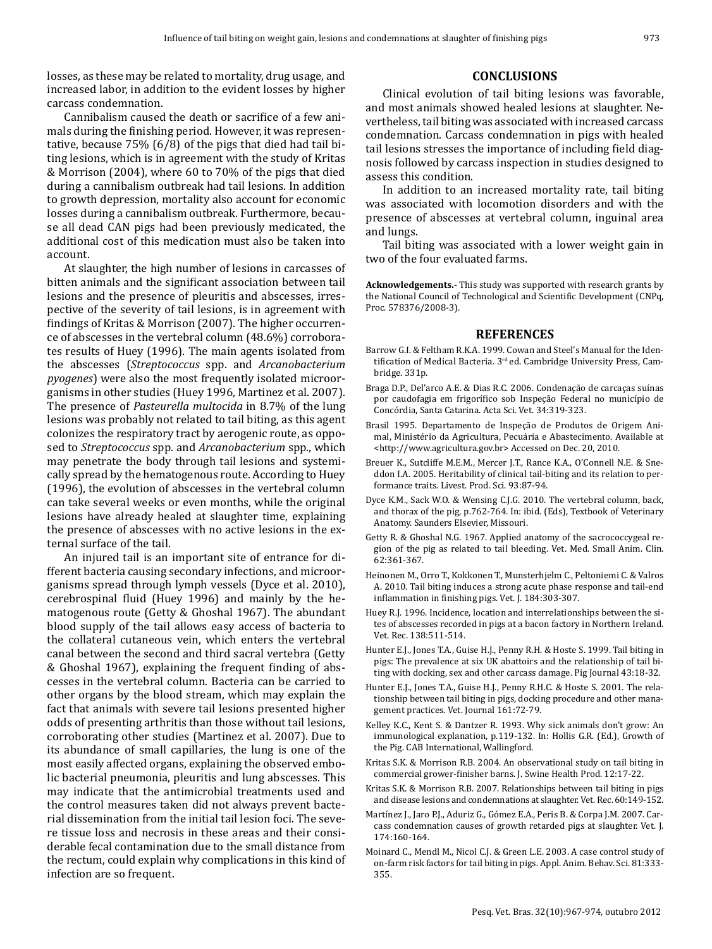losses, as these may be related to mortality, drug usage, and increased labor, in addition to the evident losses by higher carcass condemnation.

Cannibalism caused the death or sacrifice of a few animals during the finishing period. However, it was representative, because 75% (6/8) of the pigs that died had tail biting lesions, which is in agreement with the study of Kritas & Morrison (2004), where 60 to 70% of the pigs that died during a cannibalism outbreak had tail lesions. In addition to growth depression, mortality also account for economic losses during a cannibalism outbreak. Furthermore, because all dead CAN pigs had been previously medicated, the additional cost of this medication must also be taken into account.

At slaughter, the high number of lesions in carcasses of bitten animals and the significant association between tail lesions and the presence of pleuritis and abscesses, irrespective of the severity of tail lesions, is in agreement with findings of Kritas & Morrison (2007). The higher occurrence of abscesses in the vertebral column (48.6%) corroborates results of Huey (1996). The main agents isolated from the abscesses (*Streptococcus* spp. and *Arcanobacterium pyogenes*) were also the most frequently isolated microorganisms in other studies (Huey 1996, Martinez et al. 2007). The presence of *Pasteurella multocida* in 8.7% of the lung lesions was probably not related to tail biting, as this agent colonizes the respiratory tract by aerogenic route, as opposed to *Streptococcus* spp*.* and *Arcanobacterium* spp*.*, which may penetrate the body through tail lesions and systemically spread by the hematogenous route. According to Huey (1996), the evolution of abscesses in the vertebral column can take several weeks or even months, while the original lesions have already healed at slaughter time, explaining the presence of abscesses with no active lesions in the external surface of the tail.

An injured tail is an important site of entrance for different bacteria causing secondary infections, and microorganisms spread through lymph vessels (Dyce et al. 2010), cerebrospinal fluid (Huey 1996) and mainly by the hematogenous route (Getty & Ghoshal 1967). The abundant blood supply of the tail allows easy access of bacteria to the collateral cutaneous vein, which enters the vertebral canal between the second and third sacral vertebra (Getty & Ghoshal 1967), explaining the frequent finding of abscesses in the vertebral column. Bacteria can be carried to other organs by the blood stream, which may explain the fact that animals with severe tail lesions presented higher odds of presenting arthritis than those without tail lesions, corroborating other studies (Martinez et al. 2007). Due to its abundance of small capillaries, the lung is one of the most easily affected organs, explaining the observed embolic bacterial pneumonia, pleuritis and lung abscesses. This may indicate that the antimicrobial treatments used and the control measures taken did not always prevent bacterial dissemination from the initial tail lesion foci. The severe tissue loss and necrosis in these areas and their considerable fecal contamination due to the small distance from the rectum, could explain why complications in this kind of infection are so frequent.

# **CONCLUSIONS**

Clinical evolution of tail biting lesions was favorable, and most animals showed healed lesions at slaughter. Nevertheless, tail biting was associated with increased carcass condemnation. Carcass condemnation in pigs with healed tail lesions stresses the importance of including field diagnosis followed by carcass inspection in studies designed to assess this condition.

In addition to an increased mortality rate, tail biting was associated with locomotion disorders and with the presence of abscesses at vertebral column, inguinal area and lungs.

Tail biting was associated with a lower weight gain in two of the four evaluated farms.

**Acknowledgements.-** This study was supported with research grants by the National Council of Technological and Scientific Development (CNPq, Proc. 578376/2008-3).

### **REFERENCES**

- Barrow G.I. & Feltham R.K.A. 1999. Cowan and Steel's Manual for the Identification of Medical Bacteria. 3<sup>rd</sup> ed. Cambridge University Press, Cambridge. 331p.
- Braga D.P., Del'arco A.E. & Dias R.C. 2006. Condenação de carcaças suínas por caudofagia em frigorífico sob Inspeção Federal no município de Concórdia, Santa Catarina. Acta Sci. Vet. 34:319-323.
- Brasil 1995. Departamento de Inspeção de Produtos de Origem Animal, Ministério da Agricultura, Pecuária e Abastecimento. Available at <http://www.agricultura.gov.br> Accessed on Dec. 20, 2010.
- Breuer K., Sutcliffe M.E.M., Mercer J.T., Rance K.A., O'Connell N.E. & Sneddon I.A. 2005. Heritability of clinical tail-biting and its relation to performance traits. Livest. Prod. Sci. 93:87-94.
- Dyce K.M., Sack W.O. & Wensing C.J.G. 2010. The vertebral column, back, and thorax of the pig, p.762-764. In: ibid. (Eds), Textbook of Veterinary Anatomy. Saunders Elsevier, Missouri.
- Getty R. & Ghoshal N.G. 1967. Applied anatomy of the sacrococcygeal region of the pig as related to tail bleeding. Vet. Med. Small Anim. Clin. 62:361-367.
- Heinonen M., Orro T., Kokkonen T., Munsterhjelm C., Peltoniemi C. & Valros A. 2010. Tail biting induces a strong acute phase response and tail-end inflammation in finishing pigs. Vet. J. 184:303-307.
- Huey R.J. 1996. Incidence, location and interrelationships between the sites of abscesses recorded in pigs at a bacon factory in Northern Ireland. Vet. Rec. 138:511-514.
- Hunter E.J., Jones T.A., Guise H.J., Penny R.H. & Hoste S. 1999. Tail biting in pigs: The prevalence at six UK abattoirs and the relationship of tail biting with docking, sex and other carcass damage. Pig Journal 43:18-32.
- Hunter E.J., Jones T.A., Guise H.J., Penny R.H.C. & Hoste S. 2001. The relationship between tail biting in pigs, docking procedure and other management practices. Vet. Journal 161:72-79.
- Kelley K.C., Kent S. & Dantzer R. 1993. Why sick animals don't grow: An immunological explanation, p.119-132. In: Hollis G.R. (Ed.), Growth of the Pig. CAB International, Wallingford.
- Kritas S.K. & Morrison R.B. 2004. An observational study on tail biting in commercial grower-finisher barns. J. Swine Health Prod. 12:17-22.
- Kritas S.K. & Morrison R.B. 2007. Relationships between tail biting in pigs and disease lesions and condemnations at slaughter. Vet. Rec. 60:149-152.
- Martínez J., Jaro P.J., Aduriz G., Gómez E.A., Peris B. & Corpa J.M. 2007. Carcass condemnation causes of growth retarded pigs at slaughter. Vet. J. 174:160-164.
- Moinard C., Mendl M., Nicol C.J. & Green L.E. 2003. A case control study of on-farm risk factors for tail biting in pigs. Appl. Anim. Behav. Sci. 81:333- 355.